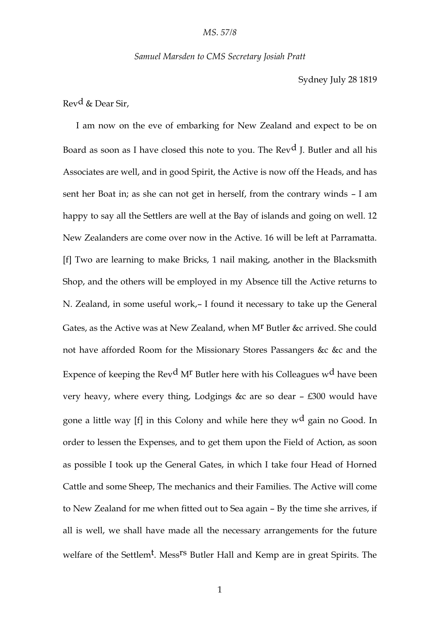*Samuel Marsden to CMS Secretary Josiah Pratt*

Sydney July 28 1819

Revd & Dear Sir,

I am now on the eve of embarking for New Zealand and expect to be on Board as soon as I have closed this note to you. The Rev<sup>d</sup> I. Butler and all his Associates are well, and in good Spirit, the Active is now off the Heads, and has sent her Boat in; as she can not get in herself, from the contrary winds – I am happy to say all the Settlers are well at the Bay of islands and going on well. 12 New Zealanders are come over now in the Active. 16 will be left at Parramatta. [f] Two are learning to make Bricks, 1 nail making, another in the Blacksmith Shop, and the others will be employed in my Absence till the Active returns to N. Zealand, in some useful work,– I found it necessary to take up the General Gates, as the Active was at New Zealand, when M<sup>r</sup> Butler &c arrived. She could not have afforded Room for the Missionary Stores Passangers &c &c and the Expence of keeping the Rev<sup>d</sup> M<sup>r</sup> Butler here with his Colleagues w<sup>d</sup> have been very heavy, where every thing, Lodgings &c are so dear – £300 would have gone a little way [f] in this Colony and while here they w<sup>d</sup> gain no Good. In order to lessen the Expenses, and to get them upon the Field of Action, as soon as possible I took up the General Gates, in which I take four Head of Horned Cattle and some Sheep, The mechanics and their Families. The Active will come to New Zealand for me when fitted out to Sea again – By the time she arrives, if all is well, we shall have made all the necessary arrangements for the future welfare of the Settlem<sup>t</sup>. Mess<sup>rs</sup> Butler Hall and Kemp are in great Spirits. The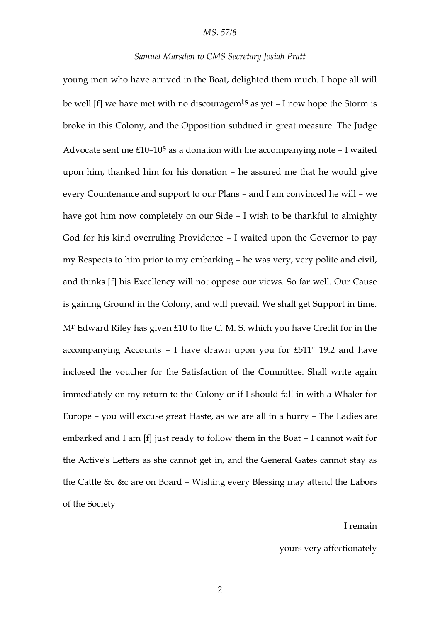## *MS. 57/8*

## *Samuel Marsden to CMS Secretary Josiah Pratt*

young men who have arrived in the Boat, delighted them much. I hope all will be well [f] we have met with no discouragem<sup>ts</sup> as yet – I now hope the Storm is broke in this Colony, and the Opposition subdued in great measure. The Judge Advocate sent me  $£10-10<sup>S</sup>$  as a donation with the accompanying note  $-1$  waited upon him, thanked him for his donation – he assured me that he would give every Countenance and support to our Plans – and I am convinced he will – we have got him now completely on our Side – I wish to be thankful to almighty God for his kind overruling Providence – I waited upon the Governor to pay my Respects to him prior to my embarking – he was very, very polite and civil, and thinks [f] his Excellency will not oppose our views. So far well. Our Cause is gaining Ground in the Colony, and will prevail. We shall get Support in time. Mr Edward Riley has given £10 to the C. M. S. which you have Credit for in the accompanying Accounts – I have drawn upon you for £511" 19.2 and have inclosed the voucher for the Satisfaction of the Committee. Shall write again immediately on my return to the Colony or if I should fall in with a Whaler for Europe – you will excuse great Haste, as we are all in a hurry – The Ladies are embarked and I am [f] just ready to follow them in the Boat – I cannot wait for the Active's Letters as she cannot get in, and the General Gates cannot stay as the Cattle &c &c are on Board – Wishing every Blessing may attend the Labors of the Society

## I remain

yours very affectionately